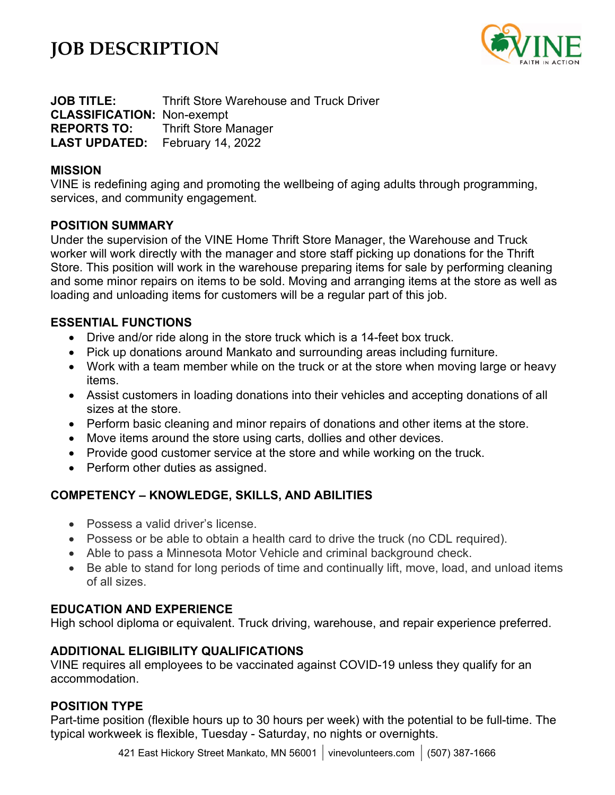# **JOB DESCRIPTION**



**JOB TITLE:** Thrift Store Warehouse and Truck Driver **CLASSIFICATION:** Non-exempt **REPORTS TO:** Thrift Store Manager **LAST UPDATED:** February 14, 2022

### **MISSION**

VINE is redefining aging and promoting the wellbeing of aging adults through programming, services, and community engagement.

### **POSITION SUMMARY**

Under the supervision of the VINE Home Thrift Store Manager, the Warehouse and Truck worker will work directly with the manager and store staff picking up donations for the Thrift Store. This position will work in the warehouse preparing items for sale by performing cleaning and some minor repairs on items to be sold. Moving and arranging items at the store as well as loading and unloading items for customers will be a regular part of this job.

## **ESSENTIAL FUNCTIONS**

- Drive and/or ride along in the store truck which is a 14-feet box truck.
- Pick up donations around Mankato and surrounding areas including furniture.
- Work with a team member while on the truck or at the store when moving large or heavy items.
- Assist customers in loading donations into their vehicles and accepting donations of all sizes at the store.
- Perform basic cleaning and minor repairs of donations and other items at the store.
- Move items around the store using carts, dollies and other devices.
- Provide good customer service at the store and while working on the truck.
- Perform other duties as assigned.

## **COMPETENCY – KNOWLEDGE, SKILLS, AND ABILITIES**

- Possess a valid driver's license.
- Possess or be able to obtain a health card to drive the truck (no CDL required).
- Able to pass a Minnesota Motor Vehicle and criminal background check.
- Be able to stand for long periods of time and continually lift, move, load, and unload items of all sizes.

## **EDUCATION AND EXPERIENCE**

High school diploma or equivalent. Truck driving, warehouse, and repair experience preferred.

## **ADDITIONAL ELIGIBILITY QUALIFICATIONS**

VINE requires all employees to be vaccinated against COVID-19 unless they qualify for an accommodation.

## **POSITION TYPE**

Part-time position (flexible hours up to 30 hours per week) with the potential to be full-time. The typical workweek is flexible, Tuesday - Saturday, no nights or overnights.